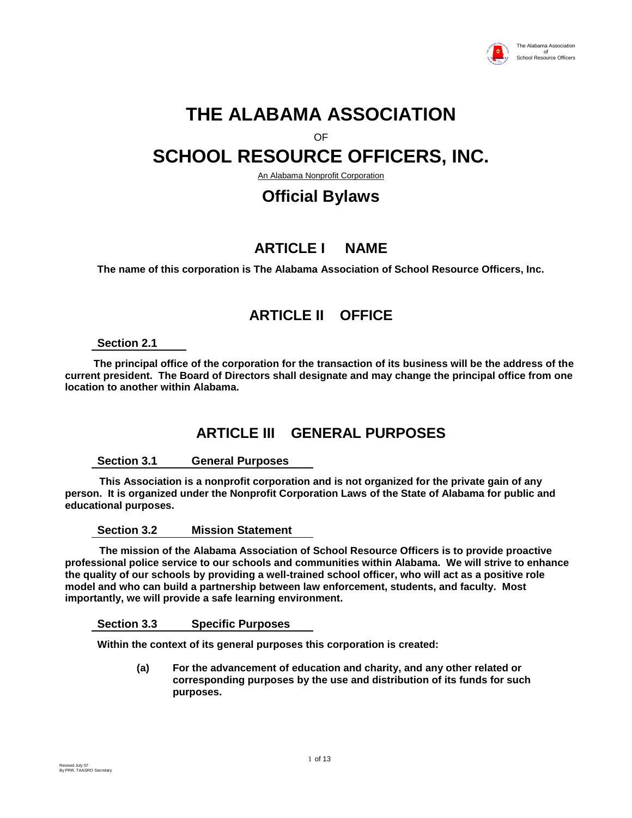

# **THE ALABAMA ASSOCIATION**

OF

# **SCHOOL RESOURCE OFFICERS, INC.**

An Alabama Nonprofit Corporation

# **Official Bylaws**

# **ARTICLE I NAME**

**The name of this corporation is The Alabama Association of School Resource Officers, Inc.**

# **ARTICLE II OFFICE**

#### **Section 2.1**

 **The principal office of the corporation for the transaction of its business will be the address of the current president. The Board of Directors shall designate and may change the principal office from one location to another within Alabama.** 

### **ARTICLE III GENERAL PURPOSES**

#### **Section 3.1 General Purposes**

 **This Association is a nonprofit corporation and is not organized for the private gain of any person. It is organized under the Nonprofit Corporation Laws of the State of Alabama for public and educational purposes.**

**Section 3.2 Mission Statement**

 **The mission of the Alabama Association of School Resource Officers is to provide proactive professional police service to our schools and communities within Alabama. We will strive to enhance the quality of our schools by providing a well-trained school officer, who will act as a positive role model and who can build a partnership between law enforcement, students, and faculty. Most importantly, we will provide a safe learning environment.**

**Section 3.3 Specific Purposes**

**Within the context of its general purposes this corporation is created:**

**(a) For the advancement of education and charity, and any other related or corresponding purposes by the use and distribution of its funds for such purposes.**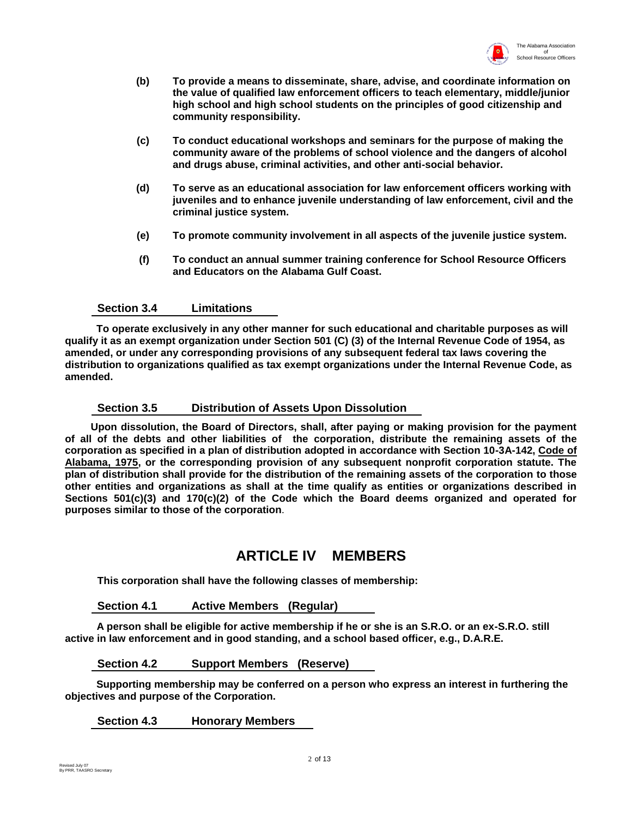

- **(b) To provide a means to disseminate, share, advise, and coordinate information on the value of qualified law enforcement officers to teach elementary, middle/junior high school and high school students on the principles of good citizenship and community responsibility.**
- **(c) To conduct educational workshops and seminars for the purpose of making the community aware of the problems of school violence and the dangers of alcohol and drugs abuse, criminal activities, and other anti-social behavior.**
- **(d) To serve as an educational association for law enforcement officers working with juveniles and to enhance juvenile understanding of law enforcement, civil and the criminal justice system.**
- **(e) To promote community involvement in all aspects of the juvenile justice system.**
- **(f) To conduct an annual summer training conference for School Resource Officers and Educators on the Alabama Gulf Coast.**

#### **Section 3.4 Limitations**

 **To operate exclusively in any other manner for such educational and charitable purposes as will qualify it as an exempt organization under Section 501 (C) (3) of the Internal Revenue Code of 1954, as amended, or under any corresponding provisions of any subsequent federal tax laws covering the distribution to organizations qualified as tax exempt organizations under the Internal Revenue Code, as amended.**

#### **Section 3.5 Distribution of Assets Upon Dissolution**

 **Upon dissolution, the Board of Directors, shall, after paying or making provision for the payment of all of the debts and other liabilities of the corporation, distribute the remaining assets of the corporation as specified in a plan of distribution adopted in accordance with Section 10-3A-142, Code of Alabama, 1975, or the corresponding provision of any subsequent nonprofit corporation statute. The plan of distribution shall provide for the distribution of the remaining assets of the corporation to those other entities and organizations as shall at the time qualify as entities or organizations described in Sections 501(c)(3) and 170(c)(2) of the Code which the Board deems organized and operated for purposes similar to those of the corporation**.

### **ARTICLE IV MEMBERS**

**This corporation shall have the following classes of membership:**

#### **Section 4.1 Active Members (Regular)**

 **A person shall be eligible for active membership if he or she is an S.R.O. or an ex-S.R.O. still active in law enforcement and in good standing, and a school based officer, e.g., D.A.R.E.**

#### **Section 4.2 Support Members (Reserve)**

 **Supporting membership may be conferred on a person who express an interest in furthering the objectives and purpose of the Corporation.** 

#### **Section 4.3 Honorary Members**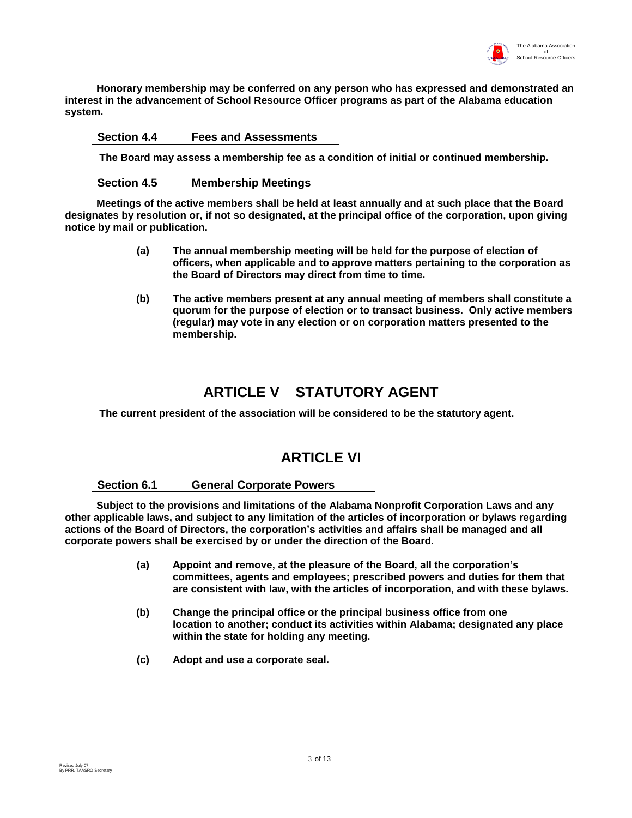

 **Honorary membership may be conferred on any person who has expressed and demonstrated an interest in the advancement of School Resource Officer programs as part of the Alabama education system.**

#### **Section 4.4 Fees and Assessments**

 **The Board may assess a membership fee as a condition of initial or continued membership.**

#### **Section 4.5 Membership Meetings**

 **Meetings of the active members shall be held at least annually and at such place that the Board designates by resolution or, if not so designated, at the principal office of the corporation, upon giving notice by mail or publication.**

- **(a) The annual membership meeting will be held for the purpose of election of officers, when applicable and to approve matters pertaining to the corporation as the Board of Directors may direct from time to time.**
- **(b) The active members present at any annual meeting of members shall constitute a quorum for the purpose of election or to transact business. Only active members (regular) may vote in any election or on corporation matters presented to the membership.**

### **ARTICLE V STATUTORY AGENT**

 **The current president of the association will be considered to be the statutory agent.**

### **ARTICLE VI**

#### **Section 6.1 General Corporate Powers**

 **Subject to the provisions and limitations of the Alabama Nonprofit Corporation Laws and any other applicable laws, and subject to any limitation of the articles of incorporation or bylaws regarding actions of the Board of Directors, the corporation's activities and affairs shall be managed and all corporate powers shall be exercised by or under the direction of the Board.** 

- **(a) Appoint and remove, at the pleasure of the Board, all the corporation's committees, agents and employees; prescribed powers and duties for them that are consistent with law, with the articles of incorporation, and with these bylaws.**
- **(b) Change the principal office or the principal business office from one location to another; conduct its activities within Alabama; designated any place within the state for holding any meeting.**
- **(c) Adopt and use a corporate seal.**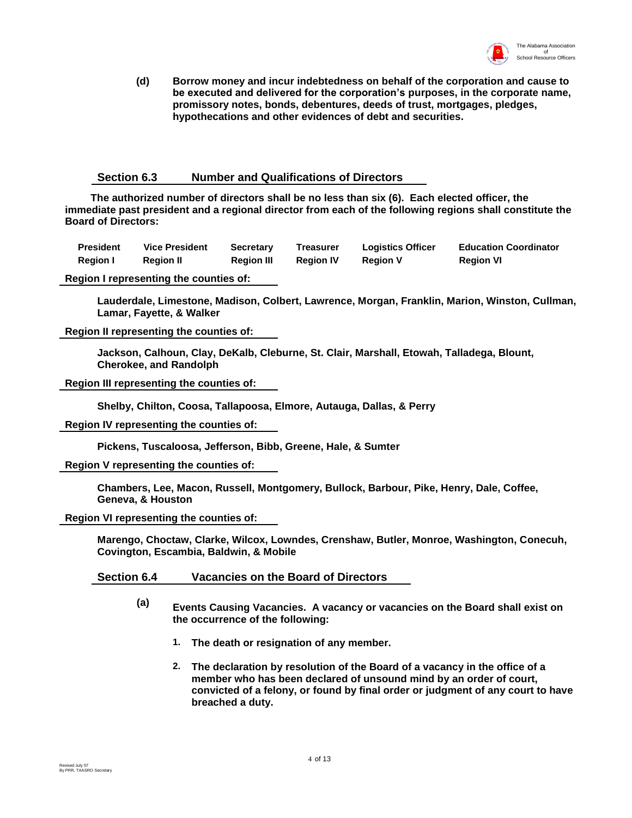

**(d) Borrow money and incur indebtedness on behalf of the corporation and cause to be executed and delivered for the corporation's purposes, in the corporate name, promissory notes, bonds, debentures, deeds of trust, mortgages, pledges, hypothecations and other evidences of debt and securities.**

#### **Section 6.3 Number and Qualifications of Directors**

 **The authorized number of directors shall be no less than six (6). Each elected officer, the immediate past president and a regional director from each of the following regions shall constitute the Board of Directors:**

| <b>President</b> | <b>Vice President</b> | <b>Secretary</b>  | <b>Treasurer</b> | <b>Logistics Officer</b> | <b>Education Coordinator</b> |
|------------------|-----------------------|-------------------|------------------|--------------------------|------------------------------|
| <b>Region I</b>  | <b>Region II</b>      | <b>Region III</b> | <b>Region IV</b> | <b>Region V</b>          | <b>Region VI</b>             |

**Region I representing the counties of:**

**Lauderdale, Limestone, Madison, Colbert, Lawrence, Morgan, Franklin, Marion, Winston, Cullman, Lamar, Fayette, & Walker**

**Region II representing the counties of:**

**Jackson, Calhoun, Clay, DeKalb, Cleburne, St. Clair, Marshall, Etowah, Talladega, Blount, Cherokee, and Randolph**

**Region III representing the counties of:**

**Shelby, Chilton, Coosa, Tallapoosa, Elmore, Autauga, Dallas, & Perry**

**Region IV representing the counties of:**

**Pickens, Tuscaloosa, Jefferson, Bibb, Greene, Hale, & Sumter**

**Region V representing the counties of:**

**Chambers, Lee, Macon, Russell, Montgomery, Bullock, Barbour, Pike, Henry, Dale, Coffee, Geneva, & Houston**

**Region VI representing the counties of:**

**Marengo, Choctaw, Clarke, Wilcox, Lowndes, Crenshaw, Butler, Monroe, Washington, Conecuh, Covington, Escambia, Baldwin, & Mobile**

**Section 6.4 Vacancies on the Board of Directors**

- **(a) Events Causing Vacancies. A vacancy or vacancies on the Board shall exist on the occurrence of the following:** 
	- **1. The death or resignation of any member.**
	- **2. The declaration by resolution of the Board of a vacancy in the office of a member who has been declared of unsound mind by an order of court, convicted of a felony, or found by final order or judgment of any court to have breached a duty.**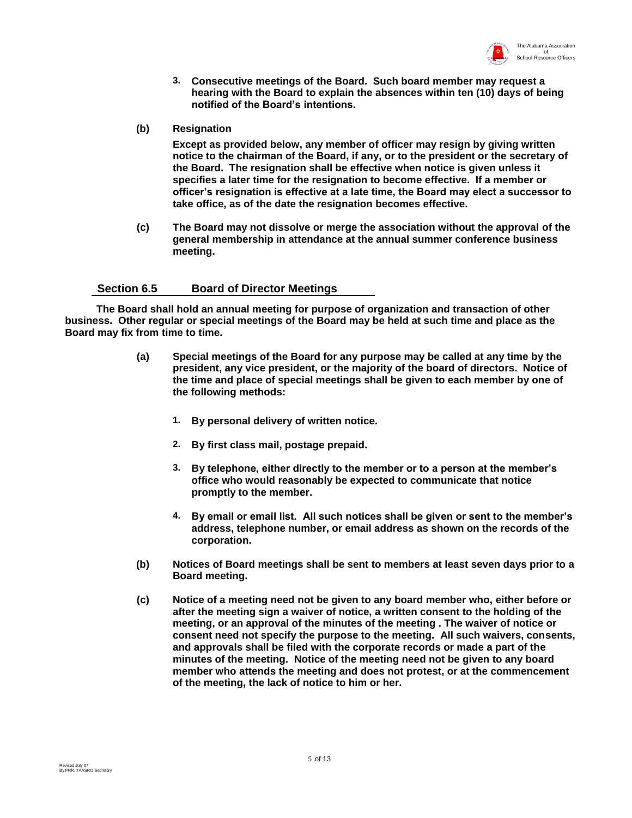

- **3. Consecutive meetings of the Board. Such board member may request a hearing with the Board to explain the absences within ten (10) days of being notified of the Board's intentions.**
- **(b) Resignation**

**Except as provided below, any member of officer may resign by giving written notice to the chairman of the Board, if any, or to the president or the secretary of the Board. The resignation shall be effective when notice is given unless it specifies a later time for the resignation to become effective. If a member or officer's resignation is effective at a late time, the Board may elect a successor to take office, as of the date the resignation becomes effective.**

**(c) The Board may not dissolve or merge the association without the approval of the general membership in attendance at the annual summer conference business meeting.**

#### **Section 6.5 Board of Director Meetings**

 **The Board shall hold an annual meeting for purpose of organization and transaction of other business. Other regular or special meetings of the Board may be held at such time and place as the Board may fix from time to time.**

- **(a) Special meetings of the Board for any purpose may be called at any time by the president, any vice president, or the majority of the board of directors. Notice of the time and place of special meetings shall be given to each member by one of the following methods:**
	- **1. By personal delivery of written notice.**
	- **2. By first class mail, postage prepaid.**
	- **3. By telephone, either directly to the member or to a person at the member's office who would reasonably be expected to communicate that notice promptly to the member.**
	- **4. By email or email list. All such notices shall be given or sent to the member's address, telephone number, or email address as shown on the records of the corporation.**
- **(b) Notices of Board meetings shall be sent to members at least seven days prior to a Board meeting.**
- **(c) Notice of a meeting need not be given to any board member who, either before or after the meeting sign a waiver of notice, a written consent to the holding of the meeting, or an approval of the minutes of the meeting . The waiver of notice or consent need not specify the purpose to the meeting. All such waivers, consents, and approvals shall be filed with the corporate records or made a part of the minutes of the meeting. Notice of the meeting need not be given to any board member who attends the meeting and does not protest, or at the commencement of the meeting, the lack of notice to him or her.**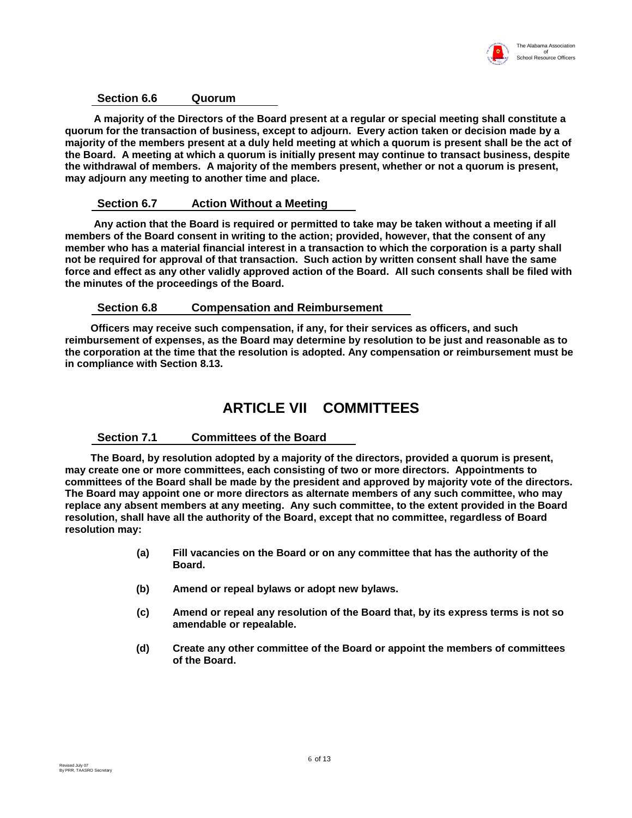

#### **Section 6.6 Quorum**

 **A majority of the Directors of the Board present at a regular or special meeting shall constitute a quorum for the transaction of business, except to adjourn. Every action taken or decision made by a majority of the members present at a duly held meeting at which a quorum is present shall be the act of the Board. A meeting at which a quorum is initially present may continue to transact business, despite the withdrawal of members. A majority of the members present, whether or not a quorum is present, may adjourn any meeting to another time and place.** 

#### **Section 6.7 Action Without a Meeting**

 **Any action that the Board is required or permitted to take may be taken without a meeting if all members of the Board consent in writing to the action; provided, however, that the consent of any member who has a material financial interest in a transaction to which the corporation is a party shall not be required for approval of that transaction. Such action by written consent shall have the same force and effect as any other validly approved action of the Board. All such consents shall be filed with the minutes of the proceedings of the Board.** 

#### **Section 6.8 Compensation and Reimbursement**

 **Officers may receive such compensation, if any, for their services as officers, and such reimbursement of expenses, as the Board may determine by resolution to be just and reasonable as to the corporation at the time that the resolution is adopted. Any compensation or reimbursement must be in compliance with Section 8.13.** 

### **ARTICLE VII COMMITTEES**

#### **Section 7.1 Committees of the Board**

 **The Board, by resolution adopted by a majority of the directors, provided a quorum is present, may create one or more committees, each consisting of two or more directors. Appointments to committees of the Board shall be made by the president and approved by majority vote of the directors. The Board may appoint one or more directors as alternate members of any such committee, who may replace any absent members at any meeting. Any such committee, to the extent provided in the Board resolution, shall have all the authority of the Board, except that no committee, regardless of Board resolution may:**

- **(a) Fill vacancies on the Board or on any committee that has the authority of the Board.**
- **(b) Amend or repeal bylaws or adopt new bylaws.**
- **(c) Amend or repeal any resolution of the Board that, by its express terms is not so amendable or repealable.**
- **(d) Create any other committee of the Board or appoint the members of committees of the Board.**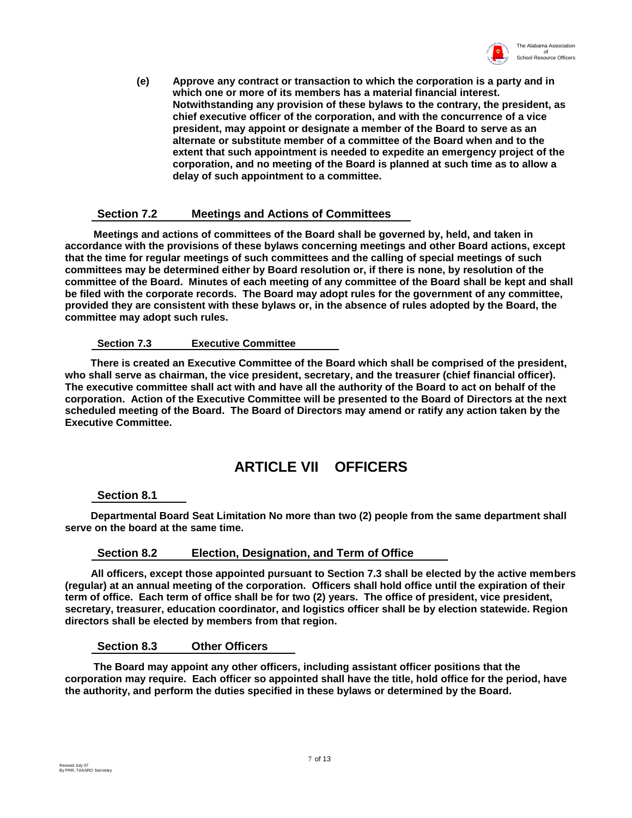

**(e) Approve any contract or transaction to which the corporation is a party and in which one or more of its members has a material financial interest. Notwithstanding any provision of these bylaws to the contrary, the president, as chief executive officer of the corporation, and with the concurrence of a vice president, may appoint or designate a member of the Board to serve as an alternate or substitute member of a committee of the Board when and to the extent that such appointment is needed to expedite an emergency project of the corporation, and no meeting of the Board is planned at such time as to allow a delay of such appointment to a committee.**

#### **Section 7.2 Meetings and Actions of Committees**

 **Meetings and actions of committees of the Board shall be governed by, held, and taken in accordance with the provisions of these bylaws concerning meetings and other Board actions, except that the time for regular meetings of such committees and the calling of special meetings of such committees may be determined either by Board resolution or, if there is none, by resolution of the committee of the Board. Minutes of each meeting of any committee of the Board shall be kept and shall be filed with the corporate records. The Board may adopt rules for the government of any committee, provided they are consistent with these bylaws or, in the absence of rules adopted by the Board, the committee may adopt such rules.** 

#### **Section 7.3 Executive Committee**

 **There is created an Executive Committee of the Board which shall be comprised of the president, who shall serve as chairman, the vice president, secretary, and the treasurer (chief financial officer). The executive committee shall act with and have all the authority of the Board to act on behalf of the corporation. Action of the Executive Committee will be presented to the Board of Directors at the next scheduled meeting of the Board. The Board of Directors may amend or ratify any action taken by the Executive Committee.**

### **ARTICLE VII OFFICERS**

#### **Section 8.1**

 **Departmental Board Seat Limitation No more than two (2) people from the same department shall serve on the board at the same time.**

#### **Section 8.2 Election, Designation, and Term of Office**

 **All officers, except those appointed pursuant to Section 7.3 shall be elected by the active members (regular) at an annual meeting of the corporation. Officers shall hold office until the expiration of their term of office. Each term of office shall be for two (2) years. The office of president, vice president, secretary, treasurer, education coordinator, and logistics officer shall be by election statewide. Region directors shall be elected by members from that region.**

**Section 8.3 Other Officers**

 **The Board may appoint any other officers, including assistant officer positions that the corporation may require. Each officer so appointed shall have the title, hold office for the period, have the authority, and perform the duties specified in these bylaws or determined by the Board.**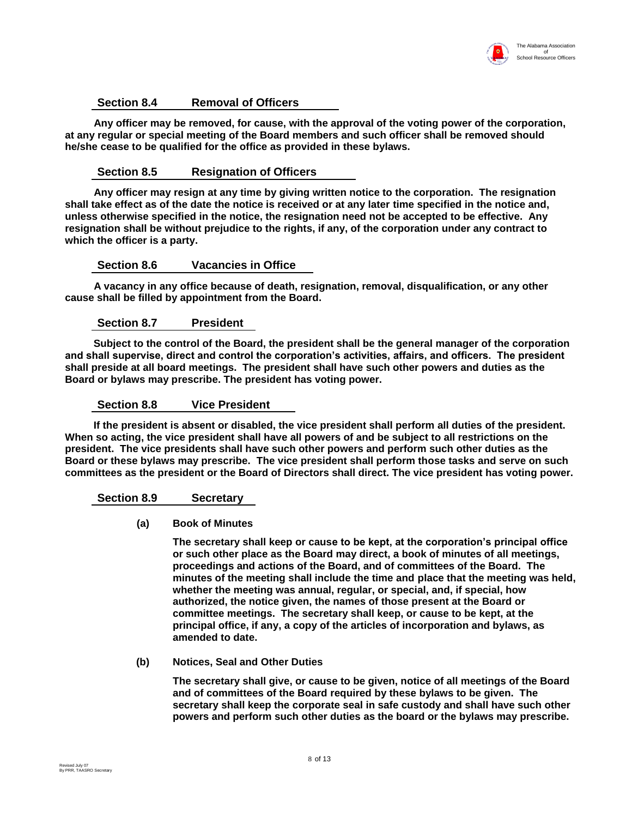

#### **Section 8.4 Removal of Officers**

 **Any officer may be removed, for cause, with the approval of the voting power of the corporation, at any regular or special meeting of the Board members and such officer shall be removed should he/she cease to be qualified for the office as provided in these bylaws.** 

#### **Section 8.5 Resignation of Officers**

 **Any officer may resign at any time by giving written notice to the corporation. The resignation shall take effect as of the date the notice is received or at any later time specified in the notice and, unless otherwise specified in the notice, the resignation need not be accepted to be effective. Any resignation shall be without prejudice to the rights, if any, of the corporation under any contract to which the officer is a party.**

#### **Section 8.6 Vacancies in Office**

 **A vacancy in any office because of death, resignation, removal, disqualification, or any other cause shall be filled by appointment from the Board.**

#### **Section 8.7 President**

 **Subject to the control of the Board, the president shall be the general manager of the corporation and shall supervise, direct and control the corporation's activities, affairs, and officers. The president shall preside at all board meetings. The president shall have such other powers and duties as the Board or bylaws may prescribe. The president has voting power.**

#### **Section 8.8 Vice President**

 **If the president is absent or disabled, the vice president shall perform all duties of the president. When so acting, the vice president shall have all powers of and be subject to all restrictions on the president. The vice presidents shall have such other powers and perform such other duties as the Board or these bylaws may prescribe. The vice president shall perform those tasks and serve on such committees as the president or the Board of Directors shall direct. The vice president has voting power.** 

#### **Section 8.9 Secretary**

#### **(a) Book of Minutes**

**The secretary shall keep or cause to be kept, at the corporation's principal office or such other place as the Board may direct, a book of minutes of all meetings, proceedings and actions of the Board, and of committees of the Board. The minutes of the meeting shall include the time and place that the meeting was held, whether the meeting was annual, regular, or special, and, if special, how authorized, the notice given, the names of those present at the Board or committee meetings. The secretary shall keep, or cause to be kept, at the principal office, if any, a copy of the articles of incorporation and bylaws, as amended to date.**

#### **(b) Notices, Seal and Other Duties**

**The secretary shall give, or cause to be given, notice of all meetings of the Board and of committees of the Board required by these bylaws to be given. The secretary shall keep the corporate seal in safe custody and shall have such other powers and perform such other duties as the board or the bylaws may prescribe.**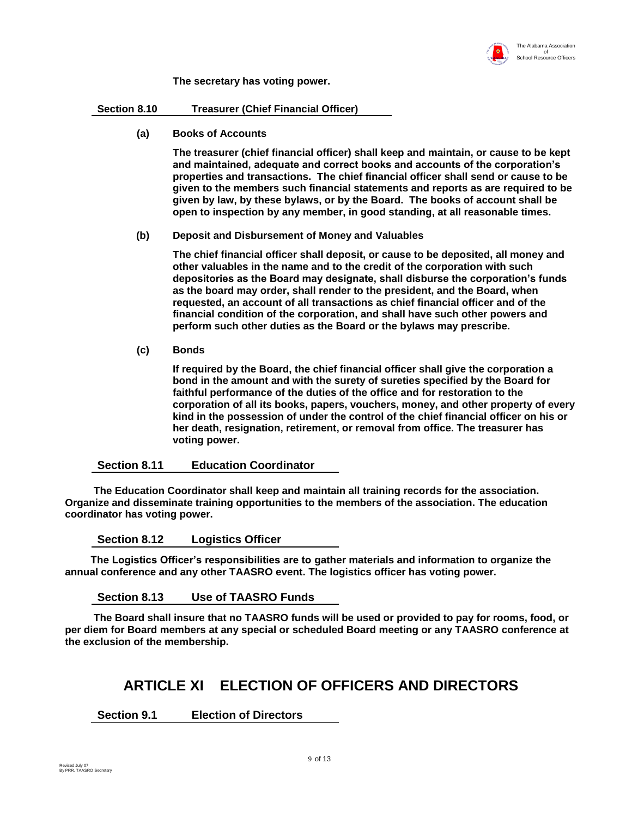

**The secretary has voting power.**

**Section 8.10 Treasurer (Chief Financial Officer)**

**(a) Books of Accounts**

**The treasurer (chief financial officer) shall keep and maintain, or cause to be kept and maintained, adequate and correct books and accounts of the corporation's properties and transactions. The chief financial officer shall send or cause to be given to the members such financial statements and reports as are required to be given by law, by these bylaws, or by the Board. The books of account shall be open to inspection by any member, in good standing, at all reasonable times.**

#### **(b) Deposit and Disbursement of Money and Valuables**

**The chief financial officer shall deposit, or cause to be deposited, all money and other valuables in the name and to the credit of the corporation with such depositories as the Board may designate, shall disburse the corporation's funds as the board may order, shall render to the president, and the Board, when requested, an account of all transactions as chief financial officer and of the financial condition of the corporation, and shall have such other powers and perform such other duties as the Board or the bylaws may prescribe.**

**(c) Bonds**

**If required by the Board, the chief financial officer shall give the corporation a bond in the amount and with the surety of sureties specified by the Board for faithful performance of the duties of the office and for restoration to the corporation of all its books, papers, vouchers, money, and other property of every kind in the possession of under the control of the chief financial officer on his or her death, resignation, retirement, or removal from office. The treasurer has voting power.** 

#### **Section 8.11 Education Coordinator**

 **The Education Coordinator shall keep and maintain all training records for the association. Organize and disseminate training opportunities to the members of the association. The education coordinator has voting power.**

**Section 8.12 Logistics Officer**

 **The Logistics Officer's responsibilities are to gather materials and information to organize the annual conference and any other TAASRO event. The logistics officer has voting power.**

**Section 8.13 Use of TAASRO Funds**

 **The Board shall insure that no TAASRO funds will be used or provided to pay for rooms, food, or per diem for Board members at any special or scheduled Board meeting or any TAASRO conference at the exclusion of the membership.** 

### **ARTICLE XI ELECTION OF OFFICERS AND DIRECTORS**

**Section 9.1 Election of Directors**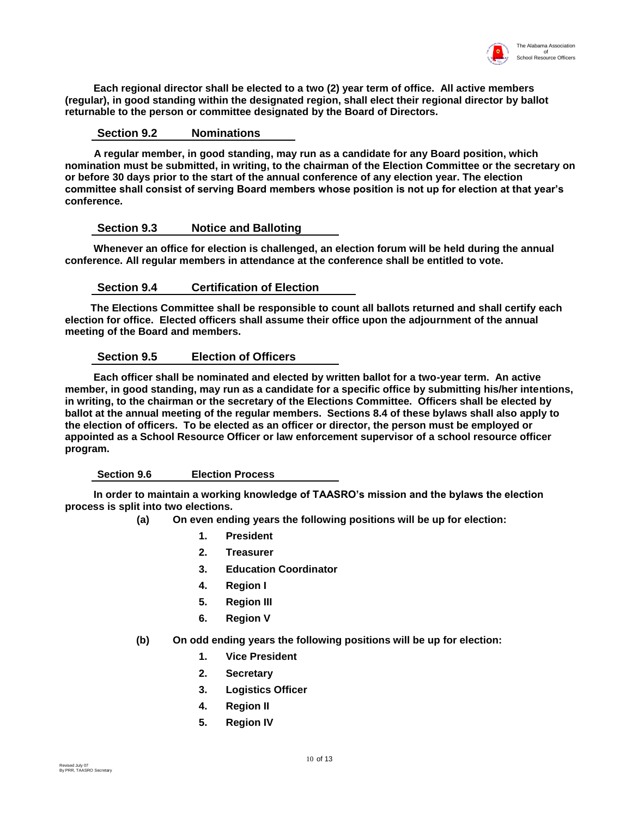

 **Each regional director shall be elected to a two (2) year term of office. All active members (regular), in good standing within the designated region, shall elect their regional director by ballot returnable to the person or committee designated by the Board of Directors.**

#### **Section 9.2 Nominations**

 **A regular member, in good standing, may run as a candidate for any Board position, which nomination must be submitted, in writing, to the chairman of the Election Committee or the secretary on or before 30 days prior to the start of the annual conference of any election year. The election committee shall consist of serving Board members whose position is not up for election at that year's conference.**

#### **Section 9.3 Notice and Balloting**

 **Whenever an office for election is challenged, an election forum will be held during the annual conference. All regular members in attendance at the conference shall be entitled to vote.**

#### **Section 9.4 Certification of Election**

 **The Elections Committee shall be responsible to count all ballots returned and shall certify each election for office. Elected officers shall assume their office upon the adjournment of the annual meeting of the Board and members.**

#### **Section 9.5 Election of Officers**

 **Each officer shall be nominated and elected by written ballot for a two-year term. An active member, in good standing, may run as a candidate for a specific office by submitting his/her intentions, in writing, to the chairman or the secretary of the Elections Committee. Officers shall be elected by ballot at the annual meeting of the regular members. Sections 8.4 of these bylaws shall also apply to the election of officers. To be elected as an officer or director, the person must be employed or appointed as a School Resource Officer or law enforcement supervisor of a school resource officer program.**

#### **Section 9.6 Election Process**

 **In order to maintain a working knowledge of TAASRO's mission and the bylaws the election process is split into two elections.**

- **(a) On even ending years the following positions will be up for election:**
	- **1. President**
	- **2. Treasurer**
	- **3. Education Coordinator**
	- **4. Region I**
	- **5. Region III**
	- **6. Region V**
- **(b) On odd ending years the following positions will be up for election:**
	- **1. Vice President**
	- **2. Secretary**
	- **3. Logistics Officer**
	- **4. Region II**
	- **5. Region IV**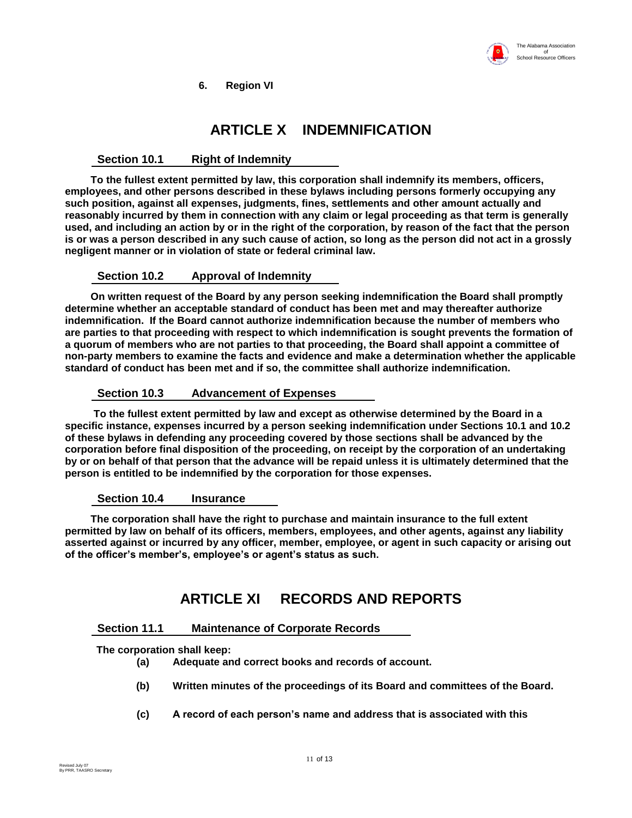

**6. Region VI**

# **ARTICLE X INDEMNIFICATION**

#### **Section 10.1 Right of Indemnity**

 **To the fullest extent permitted by law, this corporation shall indemnify its members, officers, employees, and other persons described in these bylaws including persons formerly occupying any such position, against all expenses, judgments, fines, settlements and other amount actually and reasonably incurred by them in connection with any claim or legal proceeding as that term is generally used, and including an action by or in the right of the corporation, by reason of the fact that the person is or was a person described in any such cause of action, so long as the person did not act in a grossly negligent manner or in violation of state or federal criminal law.**

#### **Section 10.2 Approval of Indemnity**

 **On written request of the Board by any person seeking indemnification the Board shall promptly determine whether an acceptable standard of conduct has been met and may thereafter authorize indemnification. If the Board cannot authorize indemnification because the number of members who are parties to that proceeding with respect to which indemnification is sought prevents the formation of a quorum of members who are not parties to that proceeding, the Board shall appoint a committee of non-party members to examine the facts and evidence and make a determination whether the applicable standard of conduct has been met and if so, the committee shall authorize indemnification.**

#### **Section 10.3 Advancement of Expenses**

 **To the fullest extent permitted by law and except as otherwise determined by the Board in a specific instance, expenses incurred by a person seeking indemnification under Sections 10.1 and 10.2 of these bylaws in defending any proceeding covered by those sections shall be advanced by the corporation before final disposition of the proceeding, on receipt by the corporation of an undertaking by or on behalf of that person that the advance will be repaid unless it is ultimately determined that the person is entitled to be indemnified by the corporation for those expenses.**

#### **Section 10.4 Insurance**

 **The corporation shall have the right to purchase and maintain insurance to the full extent permitted by law on behalf of its officers, members, employees, and other agents, against any liability asserted against or incurred by any officer, member, employee, or agent in such capacity or arising out of the officer's member's, employee's or agent's status as such.**

# **ARTICLE XI RECORDS AND REPORTS**

#### **Section 11.1 Maintenance of Corporate Records**

 **The corporation shall keep:** 

- **(a) Adequate and correct books and records of account.**
- **(b) Written minutes of the proceedings of its Board and committees of the Board.**
- **(c) A record of each person's name and address that is associated with this**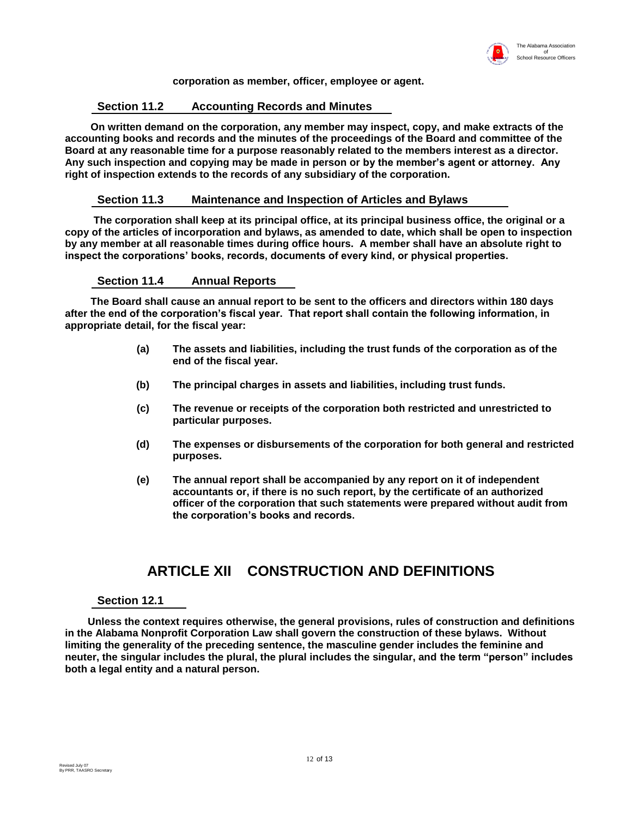

#### **corporation as member, officer, employee or agent.**

#### **Section 11.2 Accounting Records and Minutes**

 **On written demand on the corporation, any member may inspect, copy, and make extracts of the accounting books and records and the minutes of the proceedings of the Board and committee of the Board at any reasonable time for a purpose reasonably related to the members interest as a director. Any such inspection and copying may be made in person or by the member's agent or attorney. Any right of inspection extends to the records of any subsidiary of the corporation.**

#### **Section 11.3 Maintenance and Inspection of Articles and Bylaws**

 **The corporation shall keep at its principal office, at its principal business office, the original or a copy of the articles of incorporation and bylaws, as amended to date, which shall be open to inspection by any member at all reasonable times during office hours. A member shall have an absolute right to inspect the corporations' books, records, documents of every kind, or physical properties.**

#### **Section 11.4 Annual Reports**

 **The Board shall cause an annual report to be sent to the officers and directors within 180 days after the end of the corporation's fiscal year. That report shall contain the following information, in appropriate detail, for the fiscal year:**

- **(a) The assets and liabilities, including the trust funds of the corporation as of the end of the fiscal year.**
- **(b) The principal charges in assets and liabilities, including trust funds.**
- **(c) The revenue or receipts of the corporation both restricted and unrestricted to particular purposes.**
- **(d) The expenses or disbursements of the corporation for both general and restricted purposes.**
- **(e) The annual report shall be accompanied by any report on it of independent accountants or, if there is no such report, by the certificate of an authorized officer of the corporation that such statements were prepared without audit from the corporation's books and records.**

### **ARTICLE XII CONSTRUCTION AND DEFINITIONS**

#### **Section 12.1**

 **Unless the context requires otherwise, the general provisions, rules of construction and definitions in the Alabama Nonprofit Corporation Law shall govern the construction of these bylaws. Without limiting the generality of the preceding sentence, the masculine gender includes the feminine and neuter, the singular includes the plural, the plural includes the singular, and the term "person" includes both a legal entity and a natural person.**